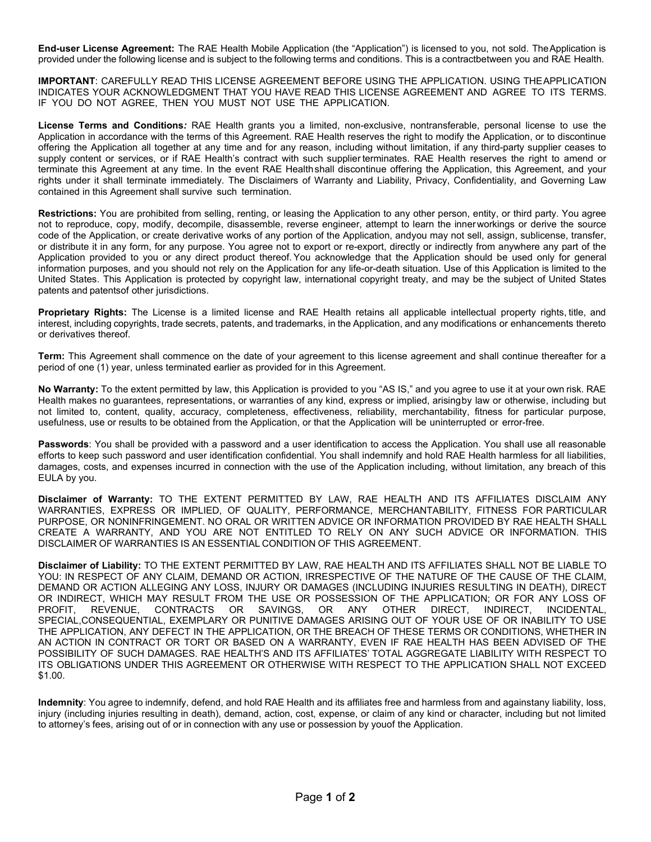**End-user License Agreement:** The RAE Health Mobile Application (the "Application") is licensed to you, not sold. TheApplication is provided under the following license and is subject to the following terms and conditions. This is a contractbetween you and RAE Health.

**IMPORTANT**: CAREFULLY READ THIS LICENSE AGREEMENT BEFORE USING THE APPLICATION. USING THEAPPLICATION INDICATES YOUR ACKNOWLEDGMENT THAT YOU HAVE READ THIS LICENSE AGREEMENT AND AGREE TO ITS TERMS. IF YOU DO NOT AGREE, THEN YOU MUST NOT USE THE APPLICATION.

**License Terms and Conditions***:* RAE Health grants you a limited, non-exclusive, nontransferable, personal license to use the Application in accordance with the terms of this Agreement. RAE Health reserves the right to modify the Application, or to discontinue offering the Application all together at any time and for any reason, including without limitation, if any third-party supplier ceases to supply content or services, or if RAE Health's contract with such supplier terminates. RAE Health reserves the right to amend or terminate this Agreement at any time. In the event RAE Healthshall discontinue offering the Application, this Agreement, and your rights under it shall terminate immediately. The Disclaimers of Warranty and Liability, Privacy, Confidentiality, and Governing Law contained in this Agreement shall survive such termination.

**Restrictions:** You are prohibited from selling, renting, or leasing the Application to any other person, entity, or third party. You agree not to reproduce, copy, modify, decompile, disassemble, reverse engineer, attempt to learn the innerworkings or derive the source code of the Application, or create derivative works of any portion of the Application, andyou may not sell, assign, sublicense, transfer, or distribute it in any form, for any purpose. You agree not to export or re-export, directly or indirectly from anywhere any part of the Application provided to you or any direct product thereof. You acknowledge that the Application should be used only for general information purposes, and you should not rely on the Application for any life-or-death situation. Use of this Application is limited to the United States. This Application is protected by copyright law, international copyright treaty, and may be the subject of United States patents and patentsof other jurisdictions.

**Proprietary Rights:** The License is a limited license and RAE Health retains all applicable intellectual property rights, title, and interest, including copyrights, trade secrets, patents, and trademarks, in the Application, and any modifications or enhancements thereto or derivatives thereof.

**Term:** This Agreement shall commence on the date of your agreement to this license agreement and shall continue thereafter for a period of one (1) year, unless terminated earlier as provided for in this Agreement.

**No Warranty:** To the extent permitted by law, this Application is provided to you "AS IS," and you agree to use it at your own risk. RAE Health makes no guarantees, representations, or warranties of any kind, express or implied, arisingby law or otherwise, including but not limited to, content, quality, accuracy, completeness, effectiveness, reliability, merchantability, fitness for particular purpose, usefulness, use or results to be obtained from the Application, or that the Application will be uninterrupted or error-free.

**Passwords**: You shall be provided with a password and a user identification to access the Application. You shall use all reasonable efforts to keep such password and user identification confidential. You shall indemnify and hold RAE Health harmless for all liabilities, damages, costs, and expenses incurred in connection with the use of the Application including, without limitation, any breach of this EULA by you.

**Disclaimer of Warranty:** TO THE EXTENT PERMITTED BY LAW, RAE HEALTH AND ITS AFFILIATES DISCLAIM ANY WARRANTIES, EXPRESS OR IMPLIED, OF QUALITY, PERFORMANCE, MERCHANTABILITY, FITNESS FOR PARTICULAR PURPOSE, OR NONINFRINGEMENT. NO ORAL OR WRITTEN ADVICE OR INFORMATION PROVIDED BY RAE HEALTH SHALL CREATE A WARRANTY, AND YOU ARE NOT ENTITLED TO RELY ON ANY SUCH ADVICE OR INFORMATION. THIS DISCLAIMER OF WARRANTIES IS AN ESSENTIAL CONDITION OF THIS AGREEMENT.

**Disclaimer of Liability:** TO THE EXTENT PERMITTED BY LAW, RAE HEALTH AND ITS AFFILIATES SHALL NOT BE LIABLE TO YOU: IN RESPECT OF ANY CLAIM, DEMAND OR ACTION, IRRESPECTIVE OF THE NATURE OF THE CAUSE OF THE CLAIM, DEMAND OR ACTION ALLEGING ANY LOSS, INJURY OR DAMAGES (INCLUDING INJURIES RESULTING IN DEATH), DIRECT OR INDIRECT, WHICH MAY RESULT FROM THE USE OR POSSESSION OF THE APPLICATION; OR FOR ANY LOSS OF PROFIT, REVENUE, CONTRACTS OR SAVINGS, OR ANY OTHER DIRECT, INDIRECT, INCIDENTAL, SPECIAL,CONSEQUENTIAL, EXEMPLARY OR PUNITIVE DAMAGES ARISING OUT OF YOUR USE OF OR INABILITY TO USE THE APPLICATION, ANY DEFECT IN THE APPLICATION, OR THE BREACH OF THESE TERMS OR CONDITIONS, WHETHER IN AN ACTION IN CONTRACT OR TORT OR BASED ON A WARRANTY, EVEN IF RAE HEALTH HAS BEEN ADVISED OF THE POSSIBILITY OF SUCH DAMAGES. RAE HEALTH'S AND ITS AFFILIATES' TOTAL AGGREGATE LIABILITY WITH RESPECT TO ITS OBLIGATIONS UNDER THIS AGREEMENT OR OTHERWISE WITH RESPECT TO THE APPLICATION SHALL NOT EXCEED \$1.00.

**Indemnity**: You agree to indemnify, defend, and hold RAE Health and its affiliates free and harmless from and againstany liability, loss, injury (including injuries resulting in death), demand, action, cost, expense, or claim of any kind or character, including but not limited to attorney's fees, arising out of or in connection with any use or possession by youof the Application.